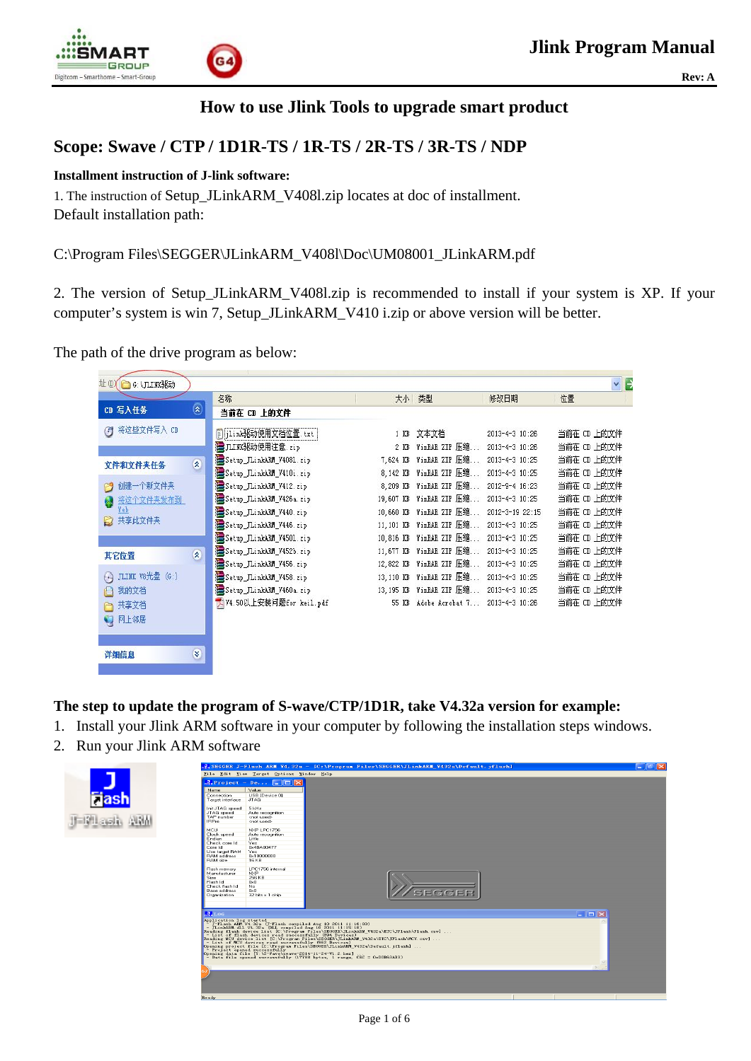



# **How to use Jlink Tools to upgrade smart product**

# **Scope: Swave / CTP / 1D1R-TS / 1R-TS / 2R-TS / 3R-TS / NDP**

### **Installment instruction of J-link software:**

1. The instruction of Setup\_JLinkARM\_V408l.zip locates at doc of installment. Default installation path:

## C:\Program Files\SEGGER\JLinkARM\_V408l\Doc\UM08001\_JLinkARM.pdf

2. The version of Setup\_JLinkARM\_V408l.zip is recommended to install if your system is XP. If your computer's system is win 7, Setup\_JLinkARM\_V410 i.zip or above version will be better.

The path of the drive program as below:

| 址四<br><b>OG: JLINK驱动</b>                  |                                 |                          |              |                 |                 | v.<br>╞     |
|-------------------------------------------|---------------------------------|--------------------------|--------------|-----------------|-----------------|-------------|
| CD 写入任务                                   | $\hat{\mathbf{z}}$              | 名称                       | 大小           | 类型              | 修改日期            | 位置          |
|                                           |                                 | 当前在 CD 上的文件              |              |                 |                 |             |
| 将这些文件写入 CD<br>G                           |                                 | [5] jlink张动使用文档位置.txt    | $1$ KB       | 文本文档            | 2013-4-3 10:26  | 当前在 CD 上的文件 |
|                                           |                                 | STLINK张动使用注意.zip         | 2 KB         | WinRAR ZIP 压缩   | 2013-4-3 10:26  | 当前在 CD 上的文件 |
| 文件和文件夹任务                                  | $\boldsymbol{\hat{\mathsf{x}}}$ | Setup_JLinkARM_V4081.zip | 7,624 KB     | WinRAR ZIP 压缩.  | 2013-4-3 10:25  | 当前在 CD 上的文件 |
|                                           |                                 | Setup_JLinkARM_V410i.zip | 8,142 KB     | WinRAR ZIP 压缩.  | 2013-4-3 10:25  | 当前在 CD 上的文件 |
| 创建一个新文件夹<br>B                             |                                 | Setup_JLinkARM_V412.zip  | 8,209 KB     | WinRAR ZIP 压缩.  | 2012-9-4 16:23  | 当前在 CD 上的文件 |
| 将这个文件夹发布到<br>μ,                           |                                 | Setup JLinkARM V426a.zip | 19,607<br>KB | WinRAR ZIP 压缩.  | 2013-4-3 10:25  | 当前在 CD 上的文件 |
| ľeb                                       |                                 | Setup JLinkARM V440.zip  | 10,660 KB    | WinRAR ZIP 压缩.  | 2012-3-19 22:15 | 当前在 CD 上的文件 |
| 共享此文件夹<br>E.                              |                                 | Setup_JLinkARM_V446.zip  | 11,101 KB    | WinRAR ZIP 压缩.  | 2013-4-3 10:25  | 当前在 CD 上的文件 |
|                                           |                                 | Setup_JLinkARM_V4501.zip | 10,816 KB    | WinRAR ZIP 压缩.  | 2013-4-3 10:25  | 当前在 CD 上的文件 |
| 其它位置                                      | $\mathbf{\hat{z}}$              | Setup JLinkARM V452b.zip | 11,677 KB    | WinRAR ZIP 压缩.  | 2013-4-3 10:25  | 当前在 CD 上的文件 |
|                                           |                                 | Setup_JLinkARM_V456.zip  | 12,822 KB    | WinRAR ZIP 压缩.  | 2013-4-3 10:25  | 当前在 CD 上的文件 |
| JLINK V8光盘 (G:)<br>$\left( \cdot \right)$ |                                 | Setup_JLinkARM_V458.zip  | 13,110 KB    | WinRAR ZIP 压缩.  | 2013-4-3 10:25  | 当前在 CD 上的文件 |
| 我的文档                                      |                                 | Setup_JLinkARM_V460a.zip | 13, 195 KB   | WinRAR ZIP 压缩.  | 2013-4-3 10:25  | 当前在 CD 上的文件 |
| 共享文档<br>A                                 |                                 | 人V4.50以上安装问题for keil.pdf | 55 KB        | Adobe Acrobat 7 | 2013-4-3 10:26  | 当前在 CD 上的文件 |
| 网上邻居<br>O                                 |                                 |                          |              |                 |                 |             |
|                                           |                                 |                          |              |                 |                 |             |
|                                           |                                 |                          |              |                 |                 |             |
| 详细信息                                      | ¥                               |                          |              |                 |                 |             |

**The step to update the program of S-wave/CTP/1D1R, take V4.32a version for example:** 

- 1. Install your Jlink ARM software in your computer by following the installation steps windows.
- 2. Run your Jlink ARM software

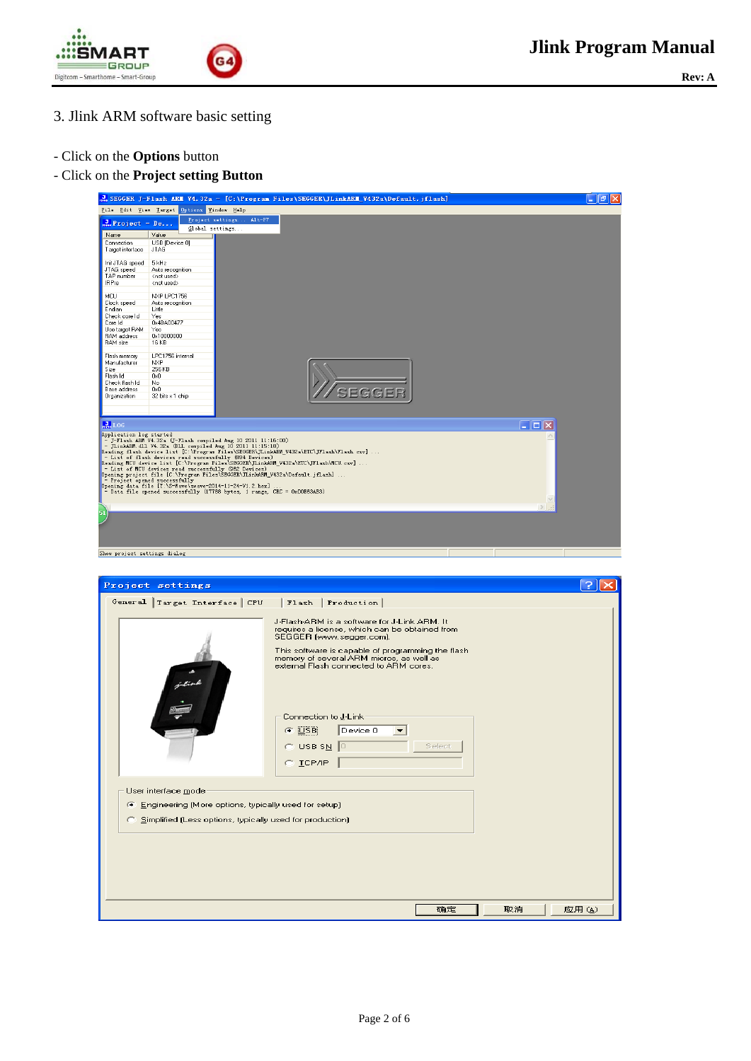



- 3. Jlink ARM software basic setting
- Click on the **Options** button
- Click on the **Project setting Button**



| Project settings                                                                                                   |                                                                                                                                                                                                                                                                                               |             |
|--------------------------------------------------------------------------------------------------------------------|-----------------------------------------------------------------------------------------------------------------------------------------------------------------------------------------------------------------------------------------------------------------------------------------------|-------------|
| General Target Interface CPU<br>j liv                                                                              | Flash   Production  <br>J-Flash-ARM is a software for J-Link ARM. It<br>requires a license, which can be obtained from<br>SEGGER (www.segger.com).<br>This software is capable of programming the flash<br>memory of several ARM micros, as well as<br>external Flash connected to ARM cores. |             |
|                                                                                                                    | Connection to J-Link<br>Device 0<br>$C$ USB<br>$C$ USB SN<br>Select<br>$C$ $ICP/IP$                                                                                                                                                                                                           |             |
| User interface mode                                                                                                |                                                                                                                                                                                                                                                                                               |             |
| Engineering (More options, typically used for setup)<br>C Simplified (Less options, typically used for production) |                                                                                                                                                                                                                                                                                               |             |
|                                                                                                                    | 确定                                                                                                                                                                                                                                                                                            | 取消<br>应用(A) |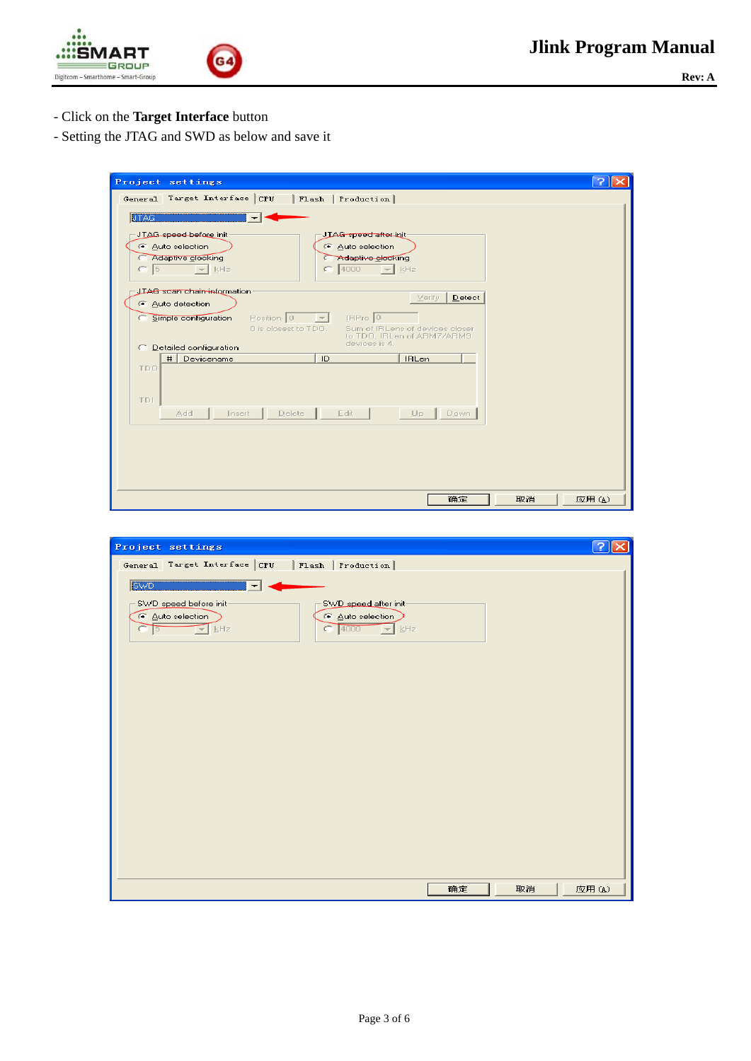



- Click on the **Target Interface** button
- Setting the JTAG and SWD as below and save it

| Project settings                                                                                              |       |
|---------------------------------------------------------------------------------------------------------------|-------|
| General Target Interface CPU<br>  Flash   Production                                                          |       |
| <b>JTAG</b><br>↽                                                                                              |       |
| JTAG speed before init<br>JTAG speed after init                                                               |       |
| C Auto selection<br>C Auto selection                                                                          |       |
| Adaptive clocking<br>Adaptive clocking                                                                        |       |
| 4000<br>$\bullet$ 5<br>$\frac{1}{2}$ kHz<br>$=$ kHz                                                           |       |
| JIAG scan chain information<br>Verify<br>Detect                                                               |       |
| C Auto detection                                                                                              |       |
| IBPre 0<br>Position 0<br>Simple configuration<br>c<br>0 is closest to TDO.<br>Sum of IRLens of devices closer |       |
| to TDO. IBLen of ABM7/ABM9<br>devices is 4.                                                                   |       |
| C Detailed configuration<br>Devicename<br>ID<br><b>IRLen</b><br>#                                             |       |
| TDO.                                                                                                          |       |
|                                                                                                               |       |
| TDI                                                                                                           |       |
| Delete<br>Edit<br>Add<br>Insert<br>山戸 -<br>Down                                                               |       |
|                                                                                                               |       |
|                                                                                                               |       |
|                                                                                                               |       |
|                                                                                                               |       |
|                                                                                                               |       |
| 取消<br>确定                                                                                                      | 应用(A) |

| Project settings                                                                                                                                                     | - ?               |
|----------------------------------------------------------------------------------------------------------------------------------------------------------------------|-------------------|
| General Target Interface CPU<br>  Flash   Production                                                                                                                 |                   |
| <b>SWD</b><br>$\overline{\phantom{a}}$                                                                                                                               |                   |
| SWD speed before init-<br>SWD speed after init-<br>C Auto selection<br>C Auto selection<br>$\sqrt{E}$ kHz<br>$\bigcirc$ 4000<br>$\frac{1}{2}$ kHz<br>o<br>$\sqrt{5}$ |                   |
|                                                                                                                                                                      |                   |
|                                                                                                                                                                      |                   |
|                                                                                                                                                                      |                   |
|                                                                                                                                                                      |                   |
|                                                                                                                                                                      | 确定<br>取消<br>应用(A) |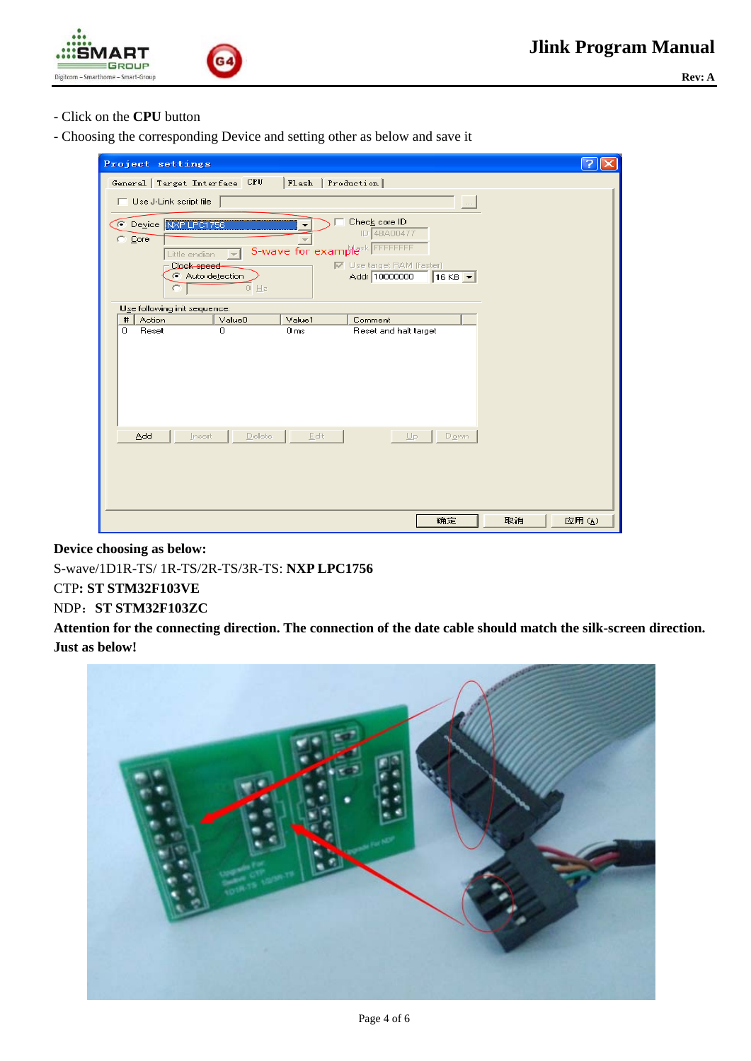



- Click on the **CPU** button
- Choosing the corresponding Device and setting other as below and save it



**Device choosing as below:** 

S-wave/1D1R-TS/ 1R-TS/2R-TS/3R-TS: **NXP LPC1756** 

### CTP**: ST STM32F103VE**

#### NDP:**ST STM32F103ZC**

**Attention for the connecting direction. The connection of the date cable should match the silk-screen direction. Just as below!** 

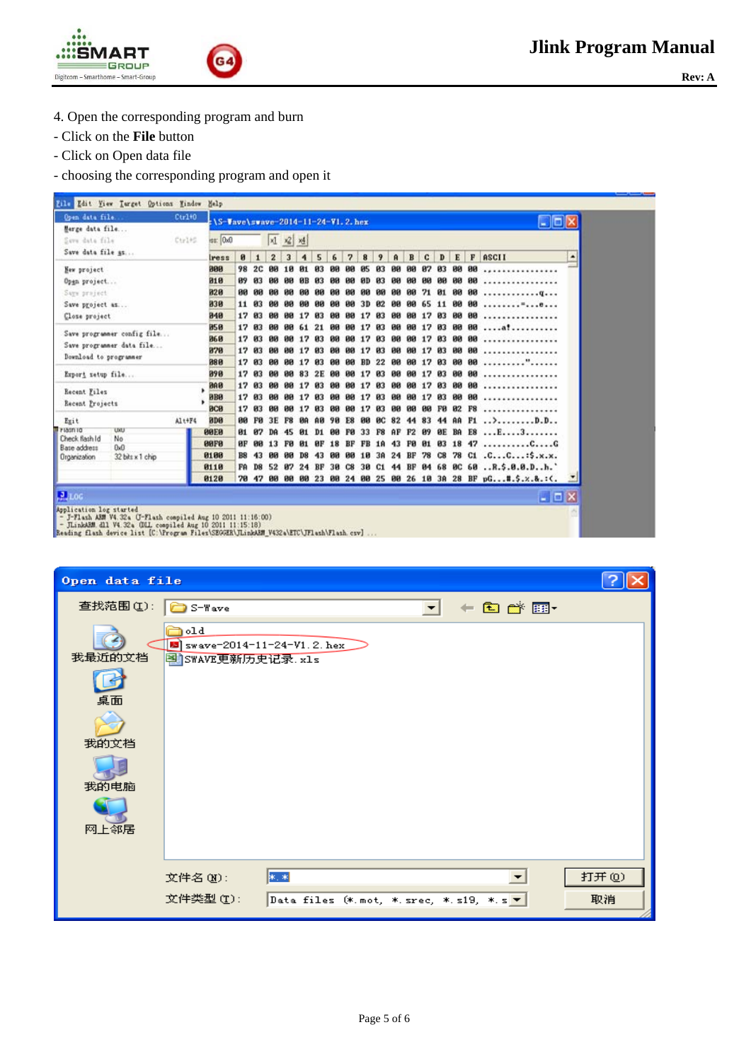



- 4. Open the corresponding program and burn
- Click on the **File** button
- Click on Open data file
- choosing the corresponding program and open it

| Open data file.                  | $Ctr1+0$ | $15-$ Jave \swave - 2014-11-24-V1.2. her |                 |              |                 |                         |              |         |           |           |             |     |                    |                |       |           |                    |       | Cox                                                                     |   |
|----------------------------------|----------|------------------------------------------|-----------------|--------------|-----------------|-------------------------|--------------|---------|-----------|-----------|-------------|-----|--------------------|----------------|-------|-----------|--------------------|-------|-------------------------------------------------------------------------|---|
| Marge data file                  |          |                                          |                 |              |                 |                         |              |         |           |           |             |     |                    |                |       |           |                    |       |                                                                         |   |
| Seve dete file                   | Ctrl+S   | 151.000                                  |                 |              |                 | <b>제 2 전</b>            |              |         |           |           |             |     |                    |                |       |           |                    |       |                                                                         |   |
| Save data file as                |          | Iress                                    | 81              |              | $\mathbf{z}$    | $\overline{\mathbf{3}}$ | 4            | 5       | 6         | 7         | 8           | 9   | $\mathbf{\hat{R}}$ | B              | c     | D         | E                  |       | F ASCII                                                                 | ۰ |
| New project                      |          | 808                                      | 98              | 2C           | 90 <sup>2</sup> |                         |              | 93      |           |           |             |     |                    | яя             | 87    | И3        | 80                 | 90    |                                                                         |   |
| Open project                     |          | 818                                      | 89              | 83           |                 |                         |              | RЗ      | ΒИ        |           |             | из  |                    | 80             | 90    | 88        | 88                 | 80    |                                                                         |   |
| Says project                     |          | 820                                      | <b>DO</b>       |              |                 |                         |              |         |           |           |             |     |                    | ЙØ             | 71    | 81        | 88 88              |       | . Q                                                                     |   |
| Save project as                  |          | 838                                      | 11              | И3           | ЙИ              |                         |              |         |           |           |             | И2  |                    | ии             | 65.   | 11        | 80                 | - 99  |                                                                         |   |
| Close project                    |          | 840                                      | 17              | 83           | คต              |                         | <b>RR 17</b> | 83      | ЙЙ        | ΒЯ        | 17          | 93  | RЯ                 | 80             | 17    | 83        | 88 88              |       | .                                                                       |   |
| Save programmer config file      |          | 858                                      | 17              | B3           | ดด              | <b>PM</b>               | 61           | 21      | ตต        |           | 12          | 03  | RА                 | <b>BB</b>      | 17    | 83        |                    | 88 88 | .:                                                                      |   |
| Save programmer data file        |          | 860                                      | 17              | 03           | ØЙ              |                         |              | 83      |           |           |             | Й3  |                    | คด             | 12    | 83.       | 88 88              |       |                                                                         |   |
| Download to programmer           |          | 878                                      | 17              | 03           | ЙĤ              | <b>PIPI</b>             | 17           | 93      |           |           |             | 93  | ии                 | 99             | 17    | И3        | 89                 | 80    |                                                                         |   |
|                                  |          | 888                                      |                 | 17 83        | ØЙ              | <b>BB</b>               | 17           | 83      | 80        | RЯ        | <b>BD</b>   | 22  | <b>BB</b>          |                | 88 17 | 83        | 88 88              |       | . ".                                                                    |   |
| Export setup file                |          | 898                                      | 17              | -03          |                 |                         |              |         |           |           |             |     |                    | คด             |       | <b>M3</b> | 80 80              |       |                                                                         |   |
| Recent Files                     |          | <b>BAR</b>                               | 17              | <b>03</b>    | ии              |                         |              |         |           |           |             |     |                    | ии             | 17    | 83        | 88                 | 90    |                                                                         |   |
| Recent Projects                  |          | <b>BBB</b>                               |                 | 17 03        | Pня             |                         | 88 17        | 83      | ЙЙ        |           | 17          | 83  | ΒЯ                 | 80             | 17    | 83        | 88 88              |       |                                                                         |   |
|                                  |          | <b>BCB</b>                               |                 | 17 03        | <b>BR</b>       | 88                      | 17           | 83      | <b>BB</b> | <b>BR</b> | 17          | 03  | 80                 | B <sub>B</sub> |       |           | <b>88 F8 82 F8</b> |       |                                                                         |   |
| Exit<br><b>Friasnic</b><br>UXU   | Alt+F4   | BOR                                      |                 | <b>00 FB</b> | 3E              |                         |              |         |           | F8        | <b>RR</b>   | ØC. | 82                 | 44             | 83    |           |                    |       |                                                                         |   |
| Check flash Id<br>No             |          | <b>99E9</b>                              | 91              | 87           | DA              | 45                      | И1           | D1      | ии        | FØ.       | 33          | F8  | AF                 | F <sub>2</sub> | 89    | <b>ØE</b> |                    |       | BA E8 E3                                                                |   |
| Base address<br>0x0              |          | eere                                     | ØР              | 88           | 13 FØ           | <b>GG</b>               | и.           | $_{BF}$ |           |           | 18 BF FB 18 |     |                    |                |       |           |                    |       | 43 FØ 01 03 18 47 CG                                                    |   |
| 32 bits x 1 chip<br>Organization |          | 0100<br>0110                             | <b>B8</b><br>FA | 43<br>D8     | 80              | 52 87                   | D8           | 43      | 8Ø        | 88        | 10          | 3A  | $24$ BF            |                | 78    | C8        |                    |       | 78 C1 .CC:\$.x.x.<br>24 BF 30 C8 30 C1 44 BF 04 68 0C 60  R.\$.0.0.Dh.' |   |
|                                  |          | 0120                                     |                 | 78 47        |                 |                         |              |         |           |           |             |     |                    |                |       |           |                    |       | 00 00 00 23 00 24 00 25 00 26 10 3A 28 BF pG#.\$.x.&.:<.                |   |
|                                  |          |                                          |                 |              |                 |                         |              |         |           |           |             |     |                    |                |       |           |                    |       |                                                                         |   |
| 2 L0G                            |          |                                          |                 |              |                 |                         |              |         |           |           |             |     |                    |                |       |           |                    |       | $ \Box$ $\times$                                                        |   |
| Application log started          |          |                                          |                 |              |                 |                         |              |         |           |           |             |     |                    |                |       |           |                    |       |                                                                         |   |

| Open data file                       |                                                           |       |
|--------------------------------------|-----------------------------------------------------------|-------|
| 查找范围(I):                             | - 白び囲*<br>S-Wave                                          |       |
| 我最近的文档<br>桌面<br>我的文档<br>我的电脑<br>网上邻居 | )old<br>5 swave-2014-11-24-V1.2. hex<br>图 SWAVE更新历史记录.xls |       |
|                                      | *. *<br>文件名(N):                                           | 打开(0) |
|                                      | 文件类型(T):                                                  | 取消    |